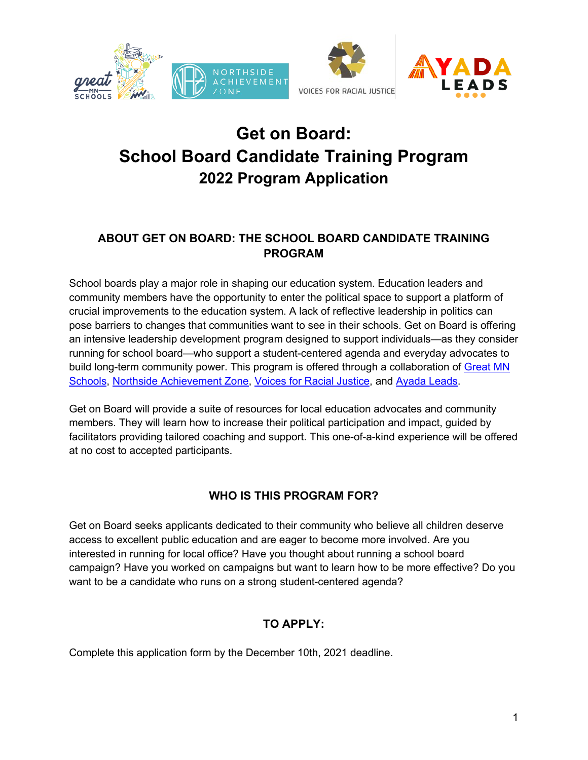

# **Get on Board: School Board Candidate Training Program 2022 Program Application**

# **ABOUT GET ON BOARD: THE SCHOOL BOARD CANDIDATE TRAINING PROGRAM**

School boards play a major role in shaping our education system. Education leaders and community members have the opportunity to enter the political space to support a platform of crucial improvements to the education system. A lack of reflective leadership in politics can pose barriers to changes that communities want to see in their schools. Get on Board is offering an intensive leadership development program designed to support individuals—as they consider running for school board—who support a student-centered agenda and everyday advocates to build long-term community power. This program is offered through a collaboration of Great MN Schools, Northside Achievement Zone, Voices for Racial Justice, and Ayada Leads.

Get on Board will provide a suite of resources for local education advocates and community members. They will learn how to increase their political participation and impact, guided by facilitators providing tailored coaching and support. This one-of-a-kind experience will be offered at no cost to accepted participants.

## **WHO IS THIS PROGRAM FOR?**

Get on Board seeks applicants dedicated to their community who believe all children deserve access to excellent public education and are eager to become more involved. Are you interested in running for local office? Have you thought about running a school board campaign? Have you worked on campaigns but want to learn how to be more effective? Do you want to be a candidate who runs on a strong student-centered agenda?

# **TO APPLY:**

Complete this application form by the December 10th, 2021 deadline.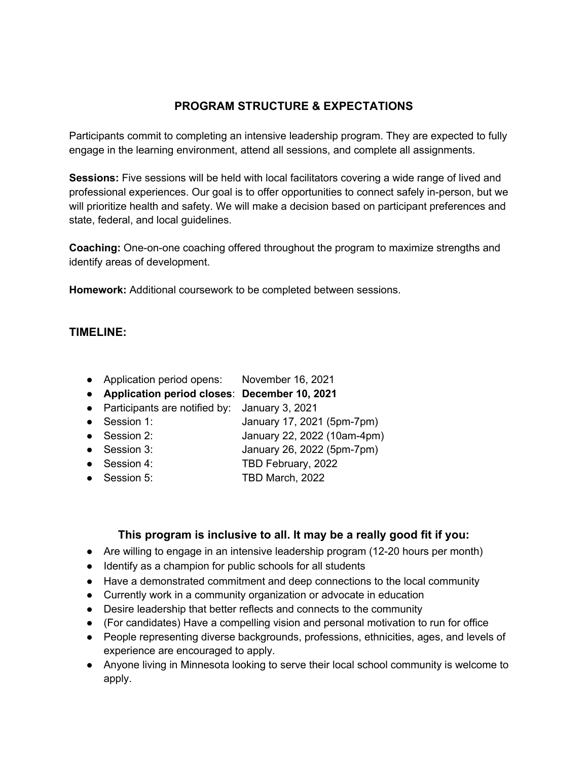# **PROGRAM STRUCTURE & EXPECTATIONS**

Participants commit to completing an intensive leadership program. They are expected to fully engage in the learning environment, attend all sessions, and complete all assignments.

**Sessions:** Five sessions will be held with local facilitators covering a wide range of lived and professional experiences. Our goal is to offer opportunities to connect safely in-person, but we will prioritize health and safety. We will make a decision based on participant preferences and state, federal, and local guidelines.

**Coaching:** One-on-one coaching offered throughout the program to maximize strengths and identify areas of development.

**Homework:** Additional coursework to be completed between sessions.

#### **TIMELINE:**

- Application period opens: November 16, 2021
- **Application period closes**: **December 10, 2021**
- Participants are notified by: January 3, 2021
- Session 1: January 17, 2021 (5pm-7pm)
- Session 2: January 22, 2022 (10am-4pm)
- Session 3: January 26, 2022 (5pm-7pm)
- Session 4: TBD February, 2022
- Session 5: TBD March, 2022

## **This program is inclusive to all. It may be a really good fit if you:**

- Are willing to engage in an intensive leadership program (12-20 hours per month)
- Identify as a champion for public schools for all students
- Have a demonstrated commitment and deep connections to the local community
- Currently work in a community organization or advocate in education
- Desire leadership that better reflects and connects to the community
- (For candidates) Have a compelling vision and personal motivation to run for office
- People representing diverse backgrounds, professions, ethnicities, ages, and levels of experience are encouraged to apply.
- Anyone living in Minnesota looking to serve their local school community is welcome to apply.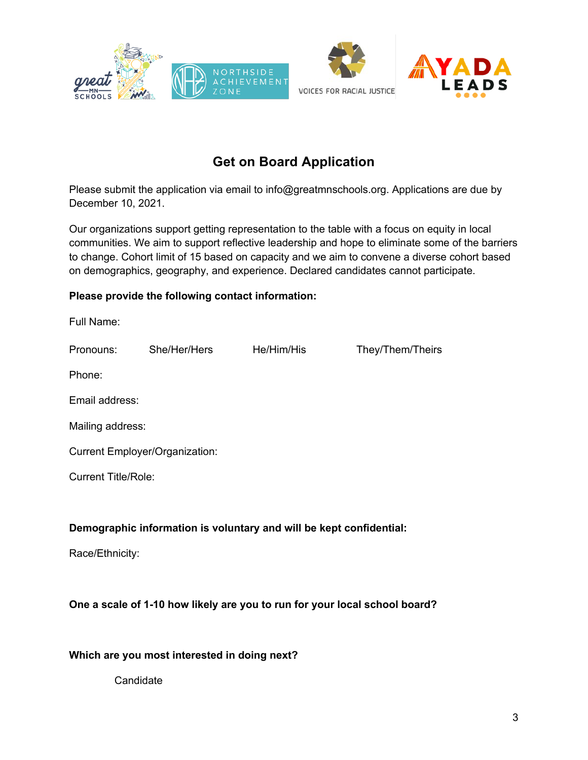





# **Get on Board Application**

Please submit the application via email to info@greatmnschools.org. Applications are due by December 10, 2021.

Our organizations support getting representation to the table with a focus on equity in local communities. We aim to support reflective leadership and hope to eliminate some of the barriers to change. Cohort limit of 15 based on capacity and we aim to convene a diverse cohort based on demographics, geography, and experience. Declared candidates cannot participate.

#### **Please provide the following contact information:**

| Full Name:                                                                 |              |            |                  |  |  |
|----------------------------------------------------------------------------|--------------|------------|------------------|--|--|
| Pronouns:                                                                  | She/Her/Hers | He/Him/His | They/Them/Theirs |  |  |
| Phone:                                                                     |              |            |                  |  |  |
| Email address:                                                             |              |            |                  |  |  |
| Mailing address:                                                           |              |            |                  |  |  |
| <b>Current Employer/Organization:</b>                                      |              |            |                  |  |  |
| <b>Current Title/Role:</b>                                                 |              |            |                  |  |  |
|                                                                            |              |            |                  |  |  |
| Demographic information is voluntary and will be kept confidential:        |              |            |                  |  |  |
| Race/Ethnicity:                                                            |              |            |                  |  |  |
|                                                                            |              |            |                  |  |  |
| One a scale of 1-10 how likely are you to run for your local school board? |              |            |                  |  |  |

**Which are you most interested in doing next?**

**Candidate**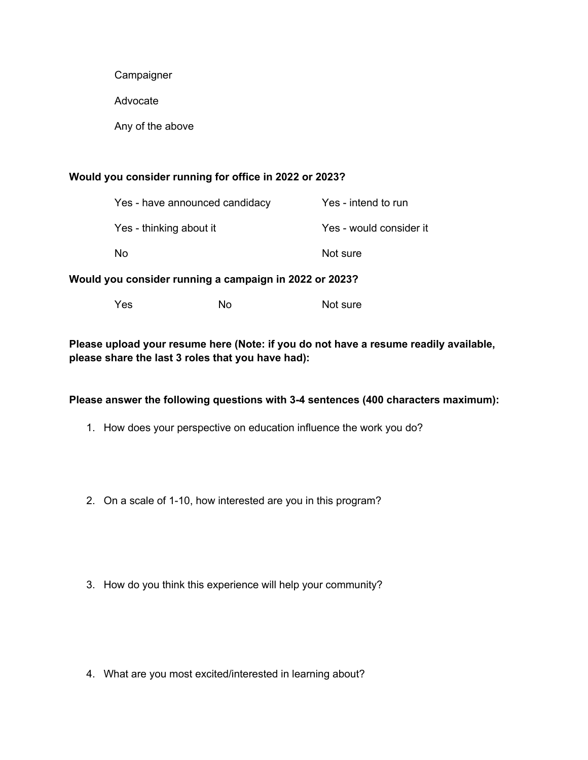**Campaigner** 

Advocate

Any of the above

#### **Would you consider running for office in 2022 or 2023?**

| Yes - have announced candidacy | Yes - intend to run     |
|--------------------------------|-------------------------|
| Yes - thinking about it        | Yes - would consider it |
| N٥                             | Not sure                |

#### **Would you consider running a campaign in 2022 or 2023?**

| Yes | No. | Not sure |
|-----|-----|----------|
|-----|-----|----------|

#### **Please upload your resume here (Note: if you do not have a resume readily available, please share the last 3 roles that you have had):**

#### **Please answer the following questions with 3-4 sentences (400 characters maximum):**

- 1. How does your perspective on education influence the work you do?
- 2. On a scale of 1-10, how interested are you in this program?
- 3. How do you think this experience will help your community?

4. What are you most excited/interested in learning about?